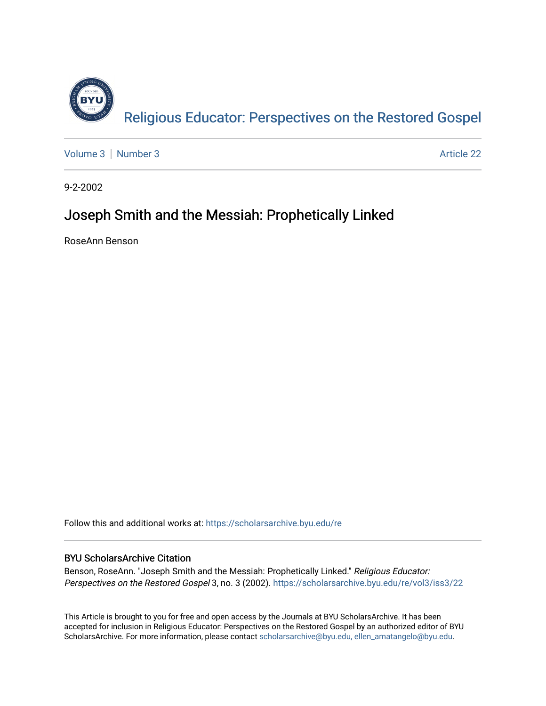

[Volume 3](https://scholarsarchive.byu.edu/re/vol3) | [Number 3](https://scholarsarchive.byu.edu/re/vol3/iss3) Article 22

9-2-2002

#### Joseph Smith and the Messiah: Prophetically Linked

RoseAnn Benson

Follow this and additional works at: [https://scholarsarchive.byu.edu/re](https://scholarsarchive.byu.edu/re?utm_source=scholarsarchive.byu.edu%2Fre%2Fvol3%2Fiss3%2F22&utm_medium=PDF&utm_campaign=PDFCoverPages)

#### BYU ScholarsArchive Citation

Benson, RoseAnn. "Joseph Smith and the Messiah: Prophetically Linked." Religious Educator: Perspectives on the Restored Gospel 3, no. 3 (2002). https://scholarsarchive.byu.edu/re/vol3/iss3/22

This Article is brought to you for free and open access by the Journals at BYU ScholarsArchive. It has been accepted for inclusion in Religious Educator: Perspectives on the Restored Gospel by an authorized editor of BYU ScholarsArchive. For more information, please contact [scholarsarchive@byu.edu, ellen\\_amatangelo@byu.edu.](mailto:scholarsarchive@byu.edu,%20ellen_amatangelo@byu.edu)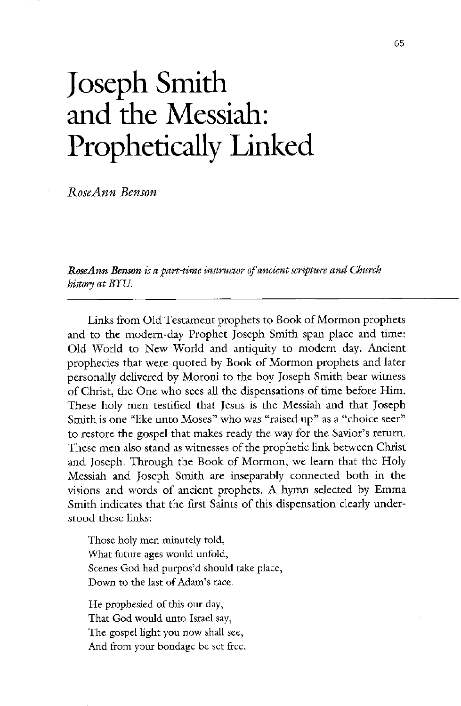# joseph smith and the Messiah: Prophetically Linked

Those holy men minutely told, What future ages would unfold, Scenes God had purpos'd should take place, Down to the last of Adam's race.

RoseAnn Benson

He prophesied of this our day, That God would unto Israel say, The gospel light you now shall see, And from your bondage be set free.

RoseAnn Benson is a part-time instructor of ancient scripture and Church history at BYU

Links from Old Testament prophets to Book of Mormon prophets and to the modern-day Prophet Joseph Smith span place and time: Old World to New World and antiquity to modern day. Ancient prophecies that were quoted by book of mormon prophets and later personally delivered by moroni to the boy joseph smith bear witness of Christ, the One who sees all the dispensations of time before Him. These holy men testified that Jesus is the Messiah and that Joseph Smith is one "like unto Moses" who was "raised up" as a "choice seer" to restore the gospel that makes ready the way for the Savior's return. These men also stand as witnesses of the prophetic link between Christ and Joseph. Through the Book of Mormon, we learn that the Holy messiah and joseph smith are inseparably connected both in the visions and words of ancient prophets. A hymn selected by Emma smith indicates that the first saints of this dispensation clearly under stood these links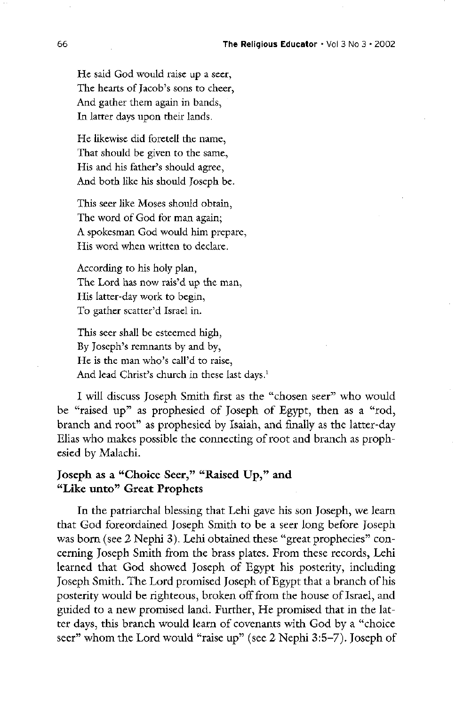He said God would raise up a seer, The hearts of Jacob's sons to cheer, And gather them again in bands, In latter days upon their lands.

He likewise did foretell the name, That should be given to the same, His and his father's should agree, And both like his should Joseph be.

This seer like Moses should obtain, The word of God for man again; A spokesman God would him prepare, His word when written to declare.

According to his holy plan, The Lord has now rais'd up the man, His latter-day work to begin, To gather scatter'd Israel in.

This seer shall be esteemed high, By Joseph's remnants by and by,

He is the man who's call'd to raise,

And lead Christ's church in these last days.<sup>1</sup>

I will discuss Joseph Smith first as the "chosen seer" who would be "raised up" as prophesied of Joseph of Egypt, then as a "rod, branch and root" as prophesied by Isaiah, and finally as the latter-day Elias who makes possible the connecting of root and branch as prophesied by Malachi.

## Joseph as a "Choice Seer," "Raised Up," and "Like unto" Great Prophets

In the patriarchal blessing that Lehi gave his son Joseph, we learn that god foreordained joseph smith to be <sup>a</sup> seer long before joseph was born (see 2 Nephi 3). Lehi obtained these "great prophecies" concerning Joseph Smith from the brass plates. From these records, Lehi learned that God showed Joseph of Egypt his posterity, including Joseph Smith. The Lord promised Joseph of Egypt that a branch of his posterity would be righteous, broken off from the house of Israel, and guided to a new promised land. Further, He promised that in the latter days, this branch would learn of covenants with God by a "choice seer" whom the Lord would "raise up" (see 2 Nephi 3:5-7). Joseph of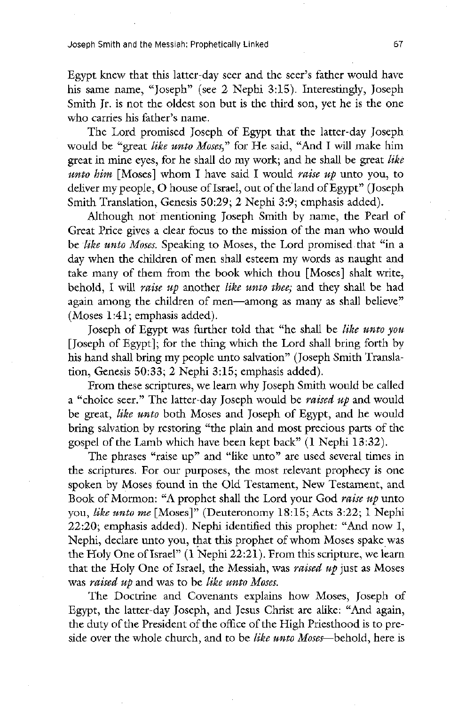Egypt knew that this latter-day seer and the seer's father would have his same name, "Joseph" (see 2 Nephi 3:15). Interestingly, Joseph Smith Jr. is not the oldest son but is the third son, yet he is the one who carries his father's name.

The Lord promised Joseph of Egypt that the latter-day Joseph would be "great like unto Moses," for He said, "And I will make him great in mine eyes, for he shall do my work; and he shall be great like unto him [Moses] whom I have said I would raise up unto you, to deliver my people, O house of Israel, out of the land of Egypt" (Joseph Smith Translation, Genesis 50:29; 2 Nephi 3:9; emphasis added).

Although not mentioning Joseph Smith by name, the Pearl of Great Price gives a clear focus to the mission of the man who would be like unto Moses. Speaking to Moses, the Lord promised that "in a day when the children of men shall esteem my words as naught and take many of them from the book which thou  $[Moses]$  shalt write, behold, I will *raise up* another *like unto thee*; and they shall be had again among the children of men—among as many as shall believe"  $(Moses 1:41;$  emphasis added).

Joseph of Egypt was further told that "he shall be like unto you [Joseph of Egypt]; for the thing which the Lord shall bring forth by his hand shall bring my people unto salvation" (Joseph Smith Translation, Genesis  $50:33$ ;  $2$  Nephi  $3:15$ ; emphasis added). From these scriptures, we learn why Joseph Smith would be called a "choice seer." The latter-day Joseph would be *raised up* and would be great, like unto both Moses and Joseph of Egypt, and he would bring salvation by restoring "the plain and most precious parts of the gospel of the Lamb which have been kept back"  $(1$  Nephi 13:32). The phrases "raise up" and "like unto" are used several times in the scriptures. For our purposes, the most relevant prophecy is one spoken by Moses found in the Old Testament, New Testament, and Book of Mormon: "A prophet shall the Lord your God raise up unto you, like unto me [Moses]" (Deuteronomy 18:15; Acts 3:22; 1 Nephi  $22:20$ ; emphasis added). Nephi identified this prophet: "And now I, Nephi, declare unto you, that this prophet of whom Moses spake was the Holy One of Israel"  $(1$  Nephi 22:21). From this scripture, we learn that the Holy One of Israel, the Messiah, was *raised up* just as Moses was raised up and was to be like unto Moses.

The Doctrine and Covenants explains how Moses, Joseph of Egypt, the latter-day Joseph, and Jesus Christ are alike: "And again, the duty of the President of the office of the High Priesthood is to preside over the whole church, and to be like unto Moses—behold, here is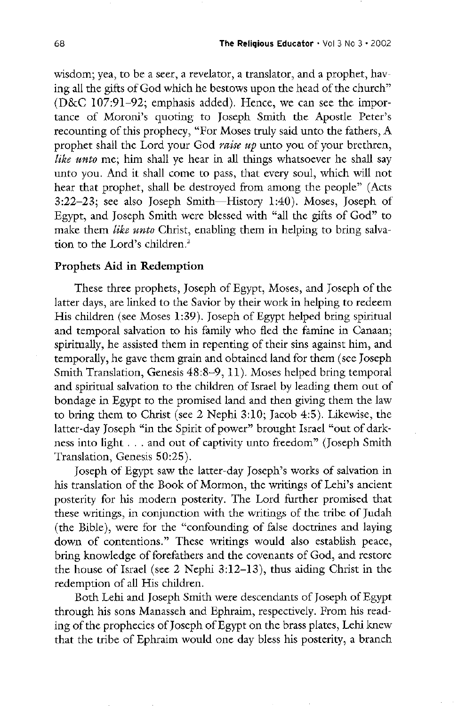wisdom; yea, to be a seer, a revelator, a translator, and a prophet, having all the gifts of God which he bestows upon the head of the church"  $(D&C 107:91-92$ ; emphasis added). Hence, we can see the importance of Moroni's quoting to Joseph Smith the Apostle Peter's recounting of this prophecy, "For Moses truly said unto the fathers, A prophet shall the Lord your God *raise up* unto you of your brethren, like unto me; him shall ye hear in all things whatsoever he shall say unto you. And it shall come to pass, that every soul, which will not hear that prophet, shall be destroyed from among the people" (Acts 3:22-23; see also Joseph Smith-History 1:40). Moses, Joseph of Egypt, and Joseph Smith were blessed with "all the gifts of God" to make them like unto Christ, enabling them in helping to bring salvation to the Lord's children.<sup>2</sup>

#### Prophets Aid in Redemption

These three prophets, Joseph of Egypt, Moses, and Joseph of the latter days, are linked to the Savior by their work in helping to redeem His children (see Moses 1:39). Joseph of Egypt helped bring spiritual and temporal salvation to his family who fled the famine in Canaan; spiritually, he assisted them in repenting of their sins against him, and temporally, he gave them grain and obtained land for them (see Joseph Smith Translation, Genesis 48:8-9, 11). Moses helped bring temporal and spiritual salvation to the children of Israel by leading them out of bondage in Egypt to the promised land and then giving them the law to bring them to Christ (see 2 Nephi  $3:10$ ; Jacob  $4:5$ ). Likewise, the latter-day Joseph "in the Spirit of power" brought Israel "out of darkness into light . . . and out of captivity unto freedom" (Joseph Smith Translation, Genesis 50:25). Joseph of Egypt saw the latter-day Joseph's works of salvation in his translation of the Book of Mormon, the writings of Lehi's ancient posterity for his modern posterity. The Lord further promised that these writings, in conjunction with the writings of the tribe of Judah (the Bible), were for the "confounding of false doctrines and laying down of contentions." These writings would also establish peace, bring knowledge of forefathers and the covenants of God, and restore the house of Israel (see 2 Nephi  $3:12-13$ ), thus aiding Christ in the redemption of all His children. Both Lehi and Joseph Smith were descendants of Joseph of Egypt through his sons Manasseh and Ephraim, respectively. From his reading of the prophecies of Joseph of Egypt on the brass plates, Lehi knew that the tribe of Ephraim would one day bless his posterity, a branch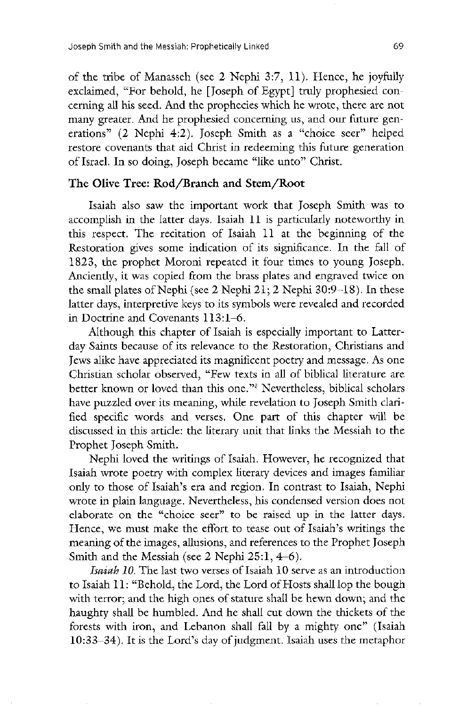of the tribe of Manasseh (see 2 Nephi 3:7,  $11$ ). Hence, he joyfully exclaimed, "For behold, he [Joseph of Egypt] truly prophesied concerning all his seed. And the prophecies which he wrote, there are not many greater. And he prophesied concerning us, and our future generations"  $(2 \text{ Nephi } 4:2)$ . Joseph Smith as a "choice seer" helped restore covenants that aid christ in redeeming this future generation of Israel. In so doing, Joseph became "like unto" Christ.

### The Olive Tree: Rod/Branch and Stem/Root

Isaiah also saw the important work that Joseph Smith was to accomplish in the latter days. Isaiah 11 is particularly noteworthy in this respect. The recitation of Isaiah 11 at the beginning of the Restoration gives some indication of its significance. In the fall of 1823, the prophet Moroni repeated it four times to young Joseph. Anciently, it was copied from the brass plates and engraved twice on the small plates of Nephi (see 2 Nephi 21;  $2$  Nephi 30:9-18). In these latter days, interpretive keys to its symbols were revealed and recorded in Doctrine and Covenants  $113:1-6$ .

Although this chapter of Isaiah is especially important to Latterday Saints because of its relevance to the Restoration, Christians and Jews alike have appreciated its magnificent poetry and message. As one Christian scholar observed, "Few texts in all of biblical literature are better known or loved than this one."<sup>3</sup> Nevertheless, biblical scholars have puzzled over its meaning, while revelation to Joseph Smith clarified specific words and verses. One part of this chapter will be discussed in this article: the literary unit that links the Messiah to the Prophet Joseph Smith. Nephi loved the writings of Isaiah. However, he recognized that Isaiah wrote poetry with complex literary devices and images familiar only to those of Isaiah's era and region. In contrast to Isaiah, Nephi wrote in plain language. Nevertheless, his condensed version does not elaborate on the "choice seer" to be raised up in the latter days. Hence, we must make the effort to tease out of Isaiah's writings the meaning of the images, allusions, and references to the Prophet Joseph Smith and the Messiah (see 2 Nephi 25:1,  $4-6$ ). Isaiah 10. The last two verses of Isaiah 10 serve as an introduction to Isaiah 11: "Behold, the Lord, the Lord of Hosts shall lop the bough with terror; and the high ones of stature shall be hewn down; and the haughty shall be humbled. And he shall cut down the thickets of the forests with iron, and Lebanon shall fall by a mighty one" (Isaiah  $10:33-34$ ). It is the Lord's day of judgment. Isaiah uses the metaphor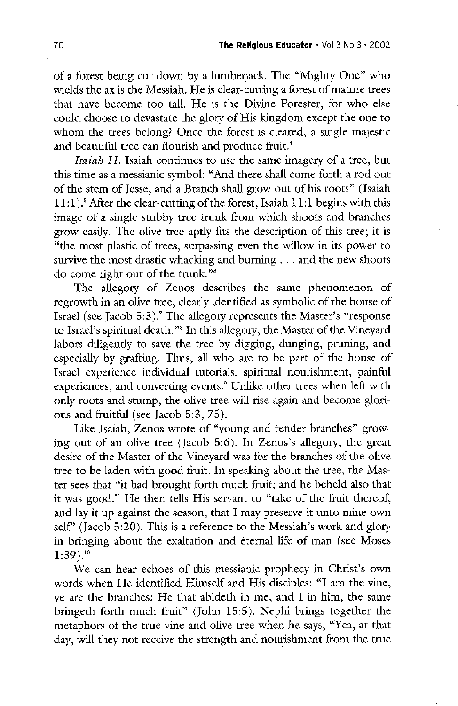of a forest being cut down by a lumberjack. The "Mighty One" who wields the ax is the Messiah. He is clear-cutting a forest of mature trees that have become too tall. He is the Divine Forester, for who else could choose to devastate the glory of His kingdom except the one to whom the trees belong? Once the forest is cleared, a single majestic and beautiful tree can flourish and produce fruit.<sup>4</sup>

Isaiah 11. Isaiah continues to use the same imagery of a tree, but this time as a messianic symbol: "And there shall come forth a rod out of the stem of Jesse, and a Branch shall grow out of his roots" (Isaiah 11:1).<sup>5</sup> After the clear-cutting of the forest, Isaiah 11:1 begins with this image of a single stubby tree trunk from which shoots and branches grow easily. The olive tree aptly fits the description of this tree; it is "the most plastic of trees, surpassing even the willow in its power to survive the most drastic whacking and burning . . . and the new shoots do come right out of the trunk." $6$ 

The allegory of Zenos describes the same phenomenon of regrowth in an olive tree, clearly identified as symbolic of the house of Israel (see Jacob 5:3).<sup>7</sup> The allegory represents the Master's "response to Israel's spiritual death."<sup>8</sup> In this allegory, the Master of the Vineyard labors diligently to save the tree by digging, dunging, pruning, and especially by grafting. Thus, all who are to be part of the house of Israel experience individual tutorials, spiritual nourishment, painful experiences, and converting events.<sup>9</sup> Unlike other trees when left with only roots and stump, the olive tree will rise again and become glorious and fruitful (see Jacob 5:3, 75). Like Isaiah, Zenos wrote of "young and tender branches" growing out of an olive tree (Jacob 5:6). In Zenos's allegory, the great desire of the Master of the Vineyard was for the branches of the olive tree to be laden with good fruit. In speaking about the tree, the Master sees that "it had brought forth much fruit; and he beheld also that it was good." He then tells His servant to "take of the fruit thereof, and lay it up against the season, that I may preserve it unto mine own self" (Jacob 5:20). This is a reference to the Messiah's work and glory in bringing about the exaltation and eternal life of man (see Moses  $1:39$ ).<sup>10</sup> We can hear echoes of this messianic prophecy in Christ's own words when He identified Himself and His disciples: "I am the vine ye are the branches: He that abideth in me, and I in him, the same bringeth forth much fruit" (John 15:5). Nephi brings together the metaphors of the true vine and olive tree when he says, "Yea, at that day, will they not receive the strength and nourishment from the true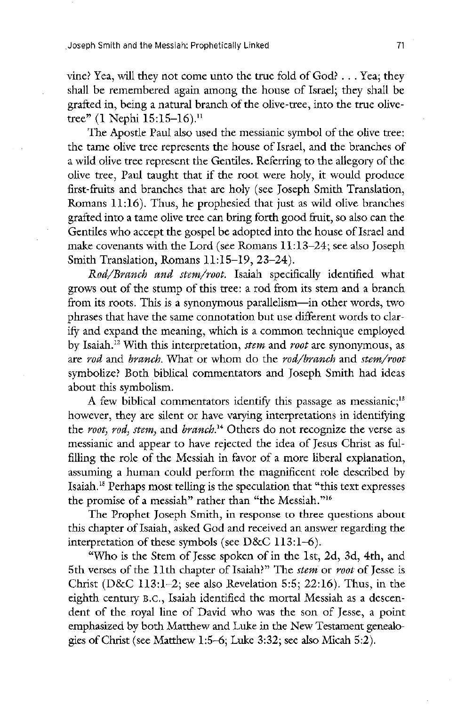vine? Yea, will they not come unto the true fold of God?  $\ldots$  Yea; they shall be remembered again among the house of Israel; they shall be grafted in, being a natural branch of the olive-tree, into the true olive- $\frac{1}{\text{tree}^n (1)}$ 1 Nephi 15:15–16).<sup>11</sup>

The Apostle Paul also used the messianic symbol of the olive tree: the tame olive tree represents the house of Israel, and the branches of a wild olive tree represent the Gentiles. Referring to the allegory of the olive tree, Paul taught that if the root were holy, it would produce first-fruits and branches that are holy (see Joseph Smith Translation, Romans  $11:16$ ). Thus, he prophesied that just as wild olive branches grafted into a tame olive tree can bring forth good fruit, so also can the Gentiles who accept the gospel be adopted into the house of Israel and make covenants with the Lord (see Romans  $11:13-24$ ; see also Joseph Smith Translation, Romans 11:15-19, 23-24).

Rod/Branch and stem/root. Isaiah specifically identified what grows out of the stump of this tree: a rod from its stem and a branch from its roots. This is a synonymous parallelism—in other words, two phrases that have the same connotation but use different words to clarify and expand the meaning, which is a common technique employed by Isaiah.<sup>12</sup> With this interpretation, *stem* and *root* are synonymous, as are rod and branch. What or whom do the rod/branch and stem/root symbolize? Both biblical commentators and Joseph Smith had ideas about this symbolism A few biblical commentators identify this passage as messianic;<sup>13</sup> however, they are silent or have varying interpretations in identifying the root, rod, stem, and branch.<sup>14</sup> Others do not recognize the verse as messianic and appear to have rejected the idea of jesus christ as fulfilling the role of the Messiah in favor of a more liberal explanation, assuming a human could perform the magnificent role described by Isaiah.<sup>15</sup> Perhaps most telling is the speculation that "this text expresses" the promise of a messiah" rather than "the Messiah."<sup>16</sup>

The Prophet Joseph Smith, in response to three questions about this chapter of Isaiah, asked God and received an answer regarding the interpretation of these symbols (see  $D&C$  113:1–6).

"Who is the Stem of Jesse spoken of in the 1st, 2d, 3d, 4th, and 5th verses of the 11th chapter of Isaiah?" The *stem* or *root* of Jesse is Christ (D&C 113:1-2; see also Revelation 5:5; 22:16). Thus, in the eighth century B.C., Isaiah identified the mortal Messiah as a descendent of the royal line of David who was the son of Jesse, a point emphasized by both Matthew and Luke in the New Testament genealogies of Christ (see Matthew 1:5–6; Luke 3:32; see also Micah 5:2).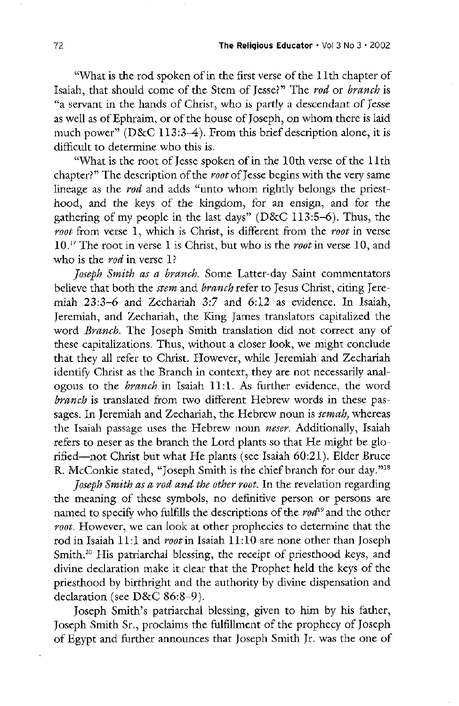What is the rod spoken of in the first verse of the 11th chapter of Isaiah, that should come of the Stem of Jesse?" The rod or branch is 'a servant in the hands of Christ, who is partly a descendant of Jesse as well as of Ephraim, or of the house of Joseph, on whom there is laid much power" ( $D&C$  113:3-4). From this brief description alone, it is difficult to determine who this is

"What is the root of Jesse spoken of in the 10th verse of the 11th chapter?" The description of the *root* of Jesse begins with the very same lineage as the *rod* and adds "unto whom rightly belongs the priesthood, and the keys of the kingdom, for an ensign, and for the gathering of my people in the last days" ( $D&C$  113:5–6). Thus, the root from verse 1, which is Christ, is different from the root in verse  $10<sup>17</sup>$  The root in verse 1 is Christ, but who is the root in verse 10, and who is the *rod* in verse  $1$ ?

Joseph Smith as a branch. Some Latter-day Saint commentators believe that both the *stem* and *branch* refer to Jesus Christ, citing Jeremiah  $23:3-6$  and Zechariah  $3:7$  and  $6:12$  as evidence. In Isaiah, Jeremiah, and Zechariah, the King James translators capitalized the word *Branch*. The Joseph Smith translation did not correct any of these capitalizations. Thus, without a closer look, we might conclude that they all refer to Christ. However, while Jeremiah and Zechariah identify Christ as the Branch in context, they are not necessarily analogous to the *branch* in Isaiah 11:1. As further evidence, the word branch is translated from two different Hebrew words in these passages. In Jeremiah and Zechariah, the Hebrew noun is *semah*, whereas the Isaiah passage uses the Hebrew noun *neser*. Additionally, Isaiah refers to neser as the branch the Lord plants so that He might be glorified—not Christ but what He plants (see Isaiah  $60:21$ ). Elder Bruce R. McConkie stated, "Joseph Smith is the chief branch for our day."<sup>18</sup> Joseph Smith as a rod and the other root. In the revelation regarding the meaning of these symbols, no definitive person or persons are named to specify who fulfills the descriptions of the rod<sup>19</sup> and the other root. However, we can look at other prophecies to determine that the rod in Isaiah  $11:1$  and root in Isaiah  $11:10$  are none other than Joseph Smith.<sup>20</sup> His patriarchal blessing, the receipt of priesthood keys, and divine declaration make it clear that the prophet held the keys of the priesthood by birthright and the authority by divine dispensation and declaration (see  $D&C 86:8-9$ ).

Joseph Smith's patriarchal blessing, given to him by his father, Joseph Smith Sr., proclaims the fulfillment of the prophecy of Joseph of Egypt and further announces that Joseph Smith Jr. was the one of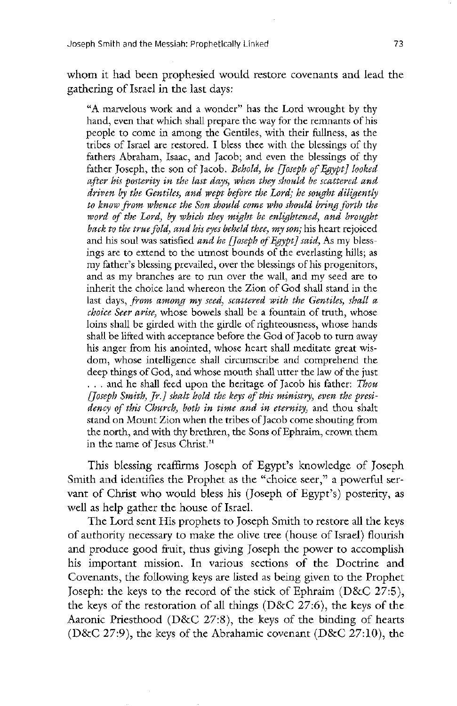whom it had been prophesied would restore covenants and lead the gathering of Israel in the last days:

"A marvelous work and a wonder" has the Lord wrought by thy hand, even that which shall prepare the way for the remnants of his people to come in among the Gentiles, with their fullness, as the tribes of Israel are restored. I bless thee with the blessings of thy fathers Abraham, Isaac, and Jacob; and even the blessings of thy father Joseph, the son of Jacob. Behold, he [Joseph of Egypt] looked after his posterity in the last days, when they should be scattered and driven by the Gentiles, and wept before the Lord; he sought diligently to know from whence the son should come who should bring forth the word of the Lord, by which they might be enlightened, and brought back to the true fold, and his eyes beheld thee, my son; his heart rejoiced and his soul was satisfied *and he [Joseph of Egypt] said*, As my blessings are to extend to the utmost bounds of the everlasting hills; as my father's blessing prevailed, over the blessings of his progenitors, and as my branches are to run over the wall, and my seed are to inherit the choice land whereon the Zion of God shall stand in the last days, from among my seed, scattered with the Gentiles, shall a choice Seer arise, whose bowels shall be a fountain of truth, whose loins shall be girded with the girdle of righteousness, whose hands shall be lifted with acceptance before the God of Jacob to turn away his anger from his anointed, whose heart shall meditate great wisdom, whose intelligence shall circumscribe and comprehend the deep things of God, and whose mouth shall utter the law of the just  $\dots$  and he shall feed upon the heritage of Jacob his father: Thou [Joseph Smith, Jr.] shalt hold the keys of this ministry, even the presidency of this Church, both in time and in eternity, and thou shalt stand on Mount Zion when the tribes of Jacob come shouting from the north, and with thy brethren, the Sons of Ephraim, crown them in the name of Jesus Christ.<sup>21</sup>

This blessing reaffirms Joseph of Egypt's knowledge of Joseph Smith and identifies the Prophet as the "choice seer," a powerful servant of Christ who would bless his (Joseph of Egypt's) posterity, as well as help gather the house of Israel.

The Lord sent His prophets to Joseph Smith to restore all the keys of authority necessary to make the olive tree (house of Israel) flourish and produce good fruit, thus giving Joseph the power to accomplish his important mission. In various sections of the Doctrine and Covenants, the following keys are listed as being given to the Prophet Joseph: the keys to the record of the stick of Ephraim ( $D&C$  27:5), the keys of the restoration of all things  $(D&C 27:6)$ , the keys of the Aaronic Priesthood (D&C 27:8), the keys of the binding of hearts (D&C 27:9), the keys of the Abrahamic covenant (D&C 27:10), the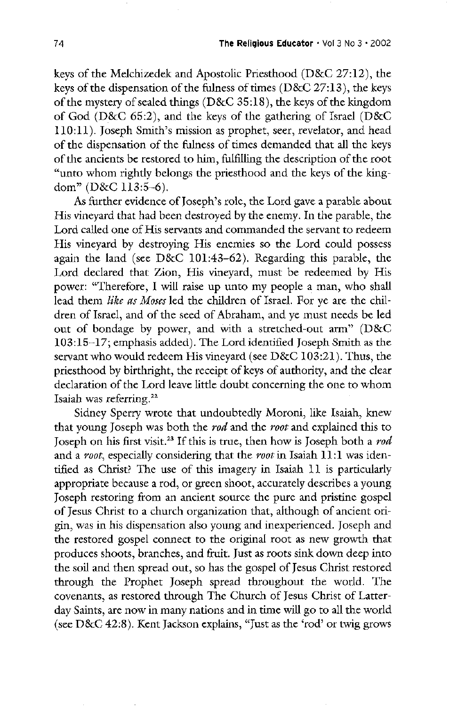keys of the Melchizedek and Apostolic Priesthood (D&C 27:12), the keys of the dispensation of the fulness of times  $(D&C 27:13)$ , the keys of the mystery of sealed things ( $D&C$  35:18), the keys of the kingdom of God (D&C 65:2), and the keys of the gathering of Israel (D&C  $110:11$ ). Joseph Smith's mission as prophet, seer, revelator, and head of the dispensation of the fulness of times demanded that all the keys of the ancients be restored to him, fulfilling the description of the root "unto whom rightly belongs the priesthood and the keys of the kingdom"  $(D&C 113:5-6)$ .

As further evidence of Joseph's role, the Lord gave a parable about His vineyard that had been destroyed by the enemy. In the parable, the Lord called one of His servants and commanded the servant to redeem His vineyard by destroying His enemies so the Lord could possess again the land (see  $D&C$  101:43–62). Regarding this parable, the Lord declared that Zion, His vineyard, must be redeemed by His power: "Therefore, I will raise up unto my people a man, who shall lead them like as Moses led the children of Israel. For ye are the children of Israel, and of the seed of Abraham, and ye must needs be led out of bondage by power, and with a stretched-out arm"  $(D&C)$  $103:15-17$ ; emphasis added). The Lord identified Joseph Smith as the

servant who would redeem His vineyard (see  $D&C 103:21$ ). Thus, the priesthood by birthright, the receipt of keys of authority, and the clear declaration of the Lord leave little doubt concerning the one to whom Isaiah was referring.<sup>22</sup>

Sidney Sperry wrote that undoubtedly Moroni, like Isaiah, knew that young Joseph was both the rod and the root and explained this to Joseph on his first visit.<sup>23</sup> If this is true, then how is Joseph both a *rod* and a root, especially considering that the root in Isaiah  $11:1$  was identified as Christ? The use of this imagery in Isaiah 11 is particularly appropriate because a rod, or green shoot, accurately describes a young joseph restoring from an ancient source the pure and pristine gospel of Jesus Christ to a church organization that, although of ancient origin, was in his dispensation also young and inexperienced. Joseph and the restored gospel connect to the original root as new growth that produces shoots, branches, and fruit. Just as roots sink down deep into the soil and then spread out, so has the gospel of Jesus Christ restored through the Prophet Joseph spread throughout the world. The covenants, as restored through The Church of Jesus Christ of Latterday Saints, are now in many nations and in time will go to all the world (see  $D&C$  42:8). Kent Jackson explains, "Just as the 'rod' or twig grows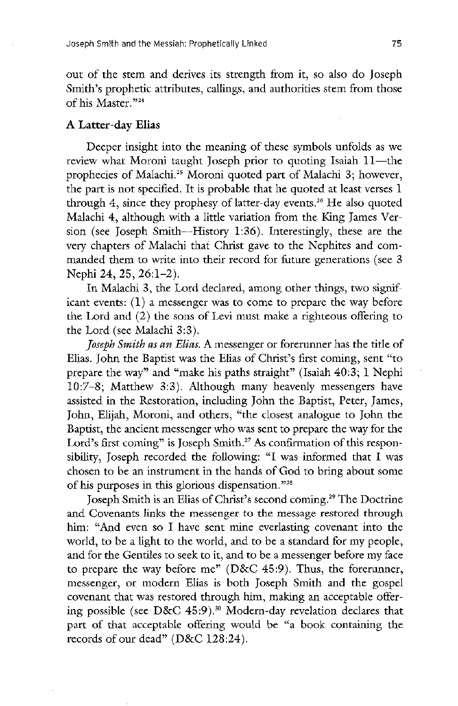out of the stem and derives its strength from it, so also do Joseph Smith's prophetic attributes, callings, and authorities stem from those of his Master."24

#### A Latter-day Elias

Deeper insight into the meaning of these symbols unfolds as we review what Moroni taught Joseph prior to quoting Isaiah 11—the prophecies of Malachi.<sup>25</sup> Moroni quoted part of Malachi 3; however, the part is not specified. It is probable that he quoted at least verses  $1$ through 4, since they prophesy of latter-day events.<sup>26</sup> He also quoted Malachi 4, although with a little variation from the King James Version (see Joseph Smith—History 1:36). Interestingly, these are the very chapters of Malachi that Christ gave to the Nephites and commanded them to write into their record for future generations (see 3) Nephi 24, 25, 26:1-2).

In Malachi 3, the Lord declared, among other things, two significant events:  $(1)$  a messenger was to come to prepare the way before the Lord and  $(2)$  the sons of Levi must make a righteous offering to the Lord (see Malachi  $3:3$ ).

Joseph Smith as an Elias. A messenger or forerunner has the title of

Elias. John the Baptist was the Elias of Christ's first coming, sent "to prepare the way" and "make his paths straight" (Isaiah 40:3; 1 Nephi 10:7-8; Matthew 3:3). Although many heavenly messengers have assisted in the Restoration, including John the Baptist, Peter, James, John, Elijah, Moroni, and others, "the closest analogue to John the Baptist, the ancient messenger who was sent to prepare the way for the Lord's first coming" is Joseph Smith.<sup>27</sup> As confirmation of this responsibility, Joseph recorded the following: "I was informed that I was chosen to be an instrument in the hands of God to bring about some of his purposes in this glorious dispensation."<sup>28</sup>

Joseph Smith is an Elias of Christ's second coming.<sup>29</sup> The Doctrine and Covenants links the messenger to the message restored through him: "And even so I have sent mine everlasting covenant into the world, to be a light to the world, and to be a standard for my people, and for the Gentiles to seek to it, and to be a messenger before my face to prepare the way before me"  $(D&C 45:9)$ . Thus, the forerunner, messenger, or modern Elias is both Joseph Smith and the gospel covenant that was restored through him, making an acceptable offering possible (see D&C 45:9).<sup>30</sup> Modern-day revelation declares that part of that acceptable offering would be "a book containing the records of our dead"  $(D&C 128:24)$ .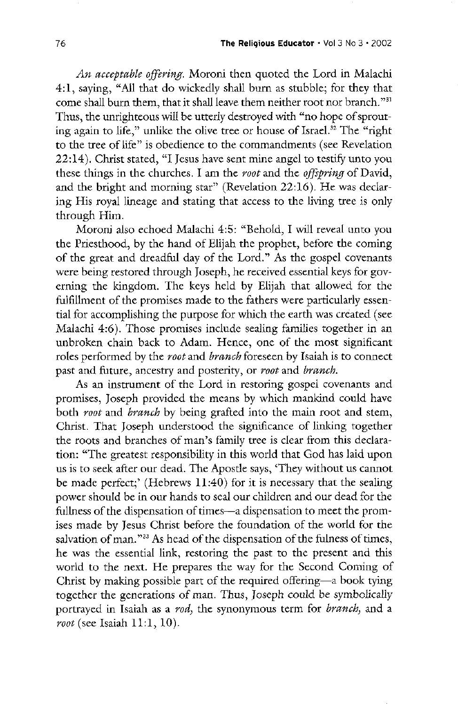An acceptable offering. Moroni then quoted the Lord in Malachi 4:1, saying, "All that do wickedly shall burn as stubble; for they that come shall burn them, that it shall leave them neither root nor branch."31 Thus, the unrighteous will be utterly destroyed with "no hope of sprouting again to life," unlike the olive tree or house of Israel.<sup>32</sup> The "right" to the tree of life" is obedience to the commandments (see Revelation  $22:14$ ). Christ stated, "I Jesus have sent mine angel to testify unto you these things in the churches. I am the *root* and the *offspring* of David, and the bright and morning star" (Revelation  $22:16$ ). He was declaring His royal lineage and stating that access to the living tree is only through Him.

Moroni also echoed Malachi 4:5: "Behold, I will reveal unto you the Priesthood, by the hand of Elijah the prophet, before the coming of the great and dreadful day of the Lord." As the gospel covenants were being restored through Joseph, he received essential keys for governing the kingdom. The keys held by Elijah that allowed for the fulfillment of the promises made to the fathers were particularly essen tial for accomplishing the purpose for which the earth was created (see Malachi 4:6). Those promises include sealing families together in an unbroken chain back to Adam. Hence, one of the most significant

roles performed by the root and branch foreseen by Isaiah is to connect past and future, ancestry and posterity, or root and branch.

As an instrument of the lord in restoring gospel covenants and promises, Joseph provided the means by which mankind could have both *root* and *branch* by being grafted into the main root and stem, Christ. That Joseph understood the significance of linking together the roots and branches of man's family tree is clear from this declaration: "The greatest responsibility in this world that God has laid upon us is to seek after our dead. The Apostle says, 'They without us cannot be made perfect;' (Hebrews  $11:40$ ) for it is necessary that the sealing power should be in our hands to seal our children and our dead for the fullness of the dispensation of times—a dispensation to meet the promises made by Jesus Christ before the foundation of the world for the salvation of man."<sup>33</sup> As head of the dispensation of the fulness of times, he was the essential link, restoring the past to the present and this world to the next. He prepares the way for the Second Coming of Christ by making possible part of the required offering—a book tying together the generations of man. Thus, Joseph could be symbolically portrayed in Isaiah as a rod, the synonymous term for branch, and a root (see Isaiah 11:1, 10).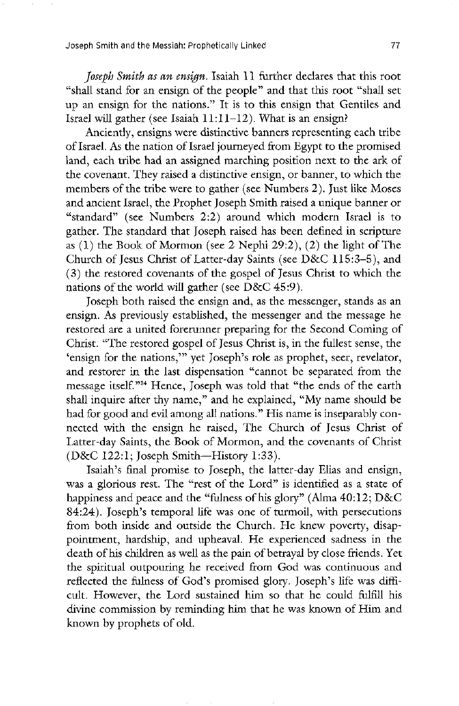Joseph Smith as an ensign. Isaiah 11 further declares that this root "shall stand for an ensign of the people" and that this root "shall set up an ensign for the nations." It is to this ensign that Gentiles and Israel will gather (see Isaiah  $11:11-12$ ). What is an ensign?

Anciently, ensigns were distinctive banners representing each tribe of Israel. As the nation of Israel journeyed from Egypt to the promised land, each tribe had an assigned marching position next to the ark of the covenant. They raised a distinctive ensign, or banner, to which the members of the tribe were to gather (see Numbers 2). Just like Moses and ancient Israel, the Prophet Joseph Smith raised a unique banner or "standard" (see Numbers  $2:2$ ) around which modern Israel is to gather. The standard that Joseph raised has been defined in scripture as  $(1)$  the Book of Mormon (see 2 Nephi 29:2),  $(2)$  the light of The Church of Jesus Christ of Latter-day Saints (see  $D&C$  115:3–5), and <sup>3</sup> the restored covenants of the gospel of jesus christ to which the nations of the world will gather (see  $D&C$  45:9).

Joseph both raised the ensign and, as the messenger, stands as an ensign. As previously established, the messenger and the message he restored are a united forerunner preparing for the Second Coming of Christ. "The restored gospel of Jesus Christ is, in the fullest sense, the 'ensign for the nations,'" yet Joseph's role as prophet, seer, revelator, and restorer in the last dispensation "cannot be separated from the message itself."<sup>34</sup> Hence, Joseph was told that "the ends of the earth shall inquire after thy name," and he explained, "My name should be had for good and evil among all nations." His name is inseparably connected with the ensign he raised, The Church of Jesus Christ of Latter-day Saints, the Book of Mormon, and the covenants of Christ  $(D&C 122:1; Joseph Smith-History 1:33).$ Isaiah's final promise to Joseph, the latter-day Elias and ensign, was a glorious rest. The "rest of the Lord" is identified as a state of happiness and peace and the "fulness of his glory" (Alma  $40:12$ ;  $D&C$ 84:24). Joseph's temporal life was one of turmoil, with persecutions from both inside and outside the Church. He knew poverty, disappointment, hardship, and upheaval. He experienced sadness in the death of his children as well as the pain of betrayal by close friends. Yet the spiritual outpouring he received from god was continuous and reflected the fulness of God's promised glory. Joseph's life was difficult. However, the Lord sustained him so that he could fulfill his divine commission by reminding him that he was known of Him and known by prophets of old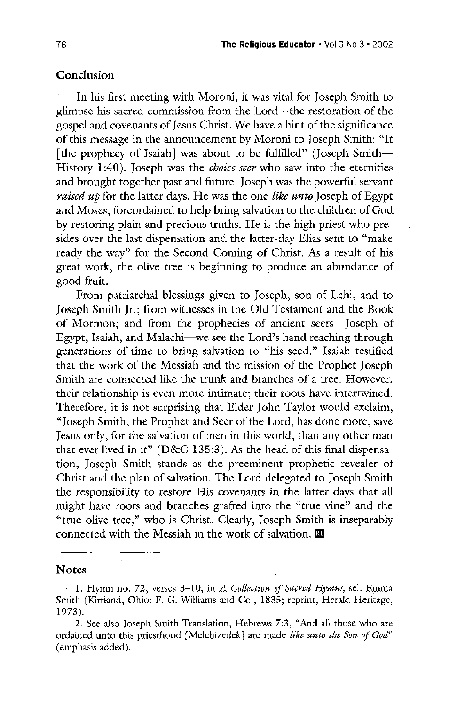#### **Conclusion**

In his first meeting with Moroni, it was vital for Joseph Smith to glimpse his sacred commission from the Lord—the restoration of the gospel and covenants of Jesus Christ. We have a hint of the significance of this message in the announcement by Moroni to Joseph Smith: "It [the prophecy of Isaiah] was about to be fulfilled" (Joseph Smith— History 1:40). Joseph was the *choice seer* who saw into the eternities and brought together past and future. Joseph was the powerful servant *raised up* for the latter days. He was the one *like unto* Joseph of Egypt and Moses, foreordained to help bring salvation to the children of God by restoring plain and precious truths. He is the high priest who presides over the last dispensation and the latter-day Elias sent to "make ready the way" for the Second Coming of Christ. As a result of his great work, the olive tree is beginning to produce an abundance of good fruit

From patriarchal blessings given to Joseph, son of Lehi, and to Joseph Smith Jr.; from witnesses in the Old Testament and the Book of Mormon; and from the prophecies of ancient seers—Joseph of Egypt, Isaiah, and Malachi—we see the Lord's hand reaching through generations of time to bring salvation to "his seed." Isaiah testified that the work of the Messiah and the mission of the Prophet Joseph Smith are connected like the trunk and branches of a tree. However, their relationship is even more intimate; their roots have intertwined. Therefore, it is not surprising that Elder John Taylor would exclaim, "Joseph Smith, the Prophet and Seer of the Lord, has done more, save Jesus only, for the salvation of men in this world, than any other man that ever lived in it" ( $D&C$  135:3). As the head of this final dispensation, Joseph Smith stands as the preeminent prophetic revealer of Christ and the plan of salvation. The Lord delegated to Joseph Smith the responsibility to restore His covenants in the latter days that all might have roots and branches grafted into the "true vine" and the "true olive tree," who is Christ. Clearly, Joseph Smith is inseparably connected with the Messiah in the work of salvation.  $\blacksquare$ 

#### **Notes**

1. Hymn no. 72, verses  $3-10$ , in A Collection of Sacred Hymns, sel. Emma Smith (Kirtland, Ohio: F. G. Williams and Co., 1835; reprint, Herald Heritage, 1973

2. See also Joseph Smith Translation, Hebrews 7:3, "And all those who are ordained unto this priesthood [Melchizedek] are made like unto the Son of God" (emphasis added).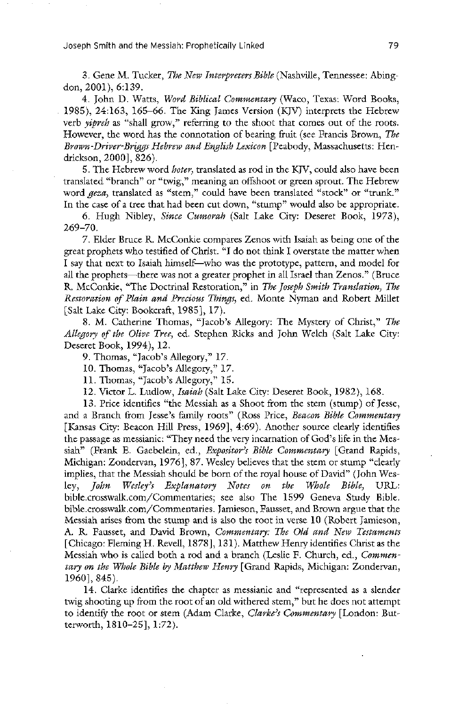Joseph Smith and the Messiah: Prophetically Linked 79

3. Gene M. Tucker, The New Interpreters Bible (Nashville, Tennessee: Abingdon,  $2001$ ,  $6:139$ .

4. John D. Watts, Word Biblical Commentary (Waco, Texas: Word Books, 1985),  $24:163$ ,  $165-66$ . The King James Version (KJV) interprets the Hebrew verb *yipreh* as "shall grow," referring to the shoot that comes out of the roots. However, the word has the connotation of bearing fruit (see Francis Brown, The Brown-Driver-Briggs Hebrew and English Lexicon [Peabody, Massachusetts: Hendrickson, 2000], 826).

5. The Hebrew word *hoter*, translated as rod in the KJV, could also have been translated "branch" or "twig," meaning an offshoot or green sprout. The Hebrew word geza, translated as "stem," could have been translated "stock" or "trunk." In the case of a tree that had been cut down, "stump" would also be appropriate.

6. Hugh Nibley, Since Cumorah (Salt Lake City: Deseret Book, 1973),  $269 - 70.$ 

7. Elder Bruce R. McConkie compares Zenos with Isaiah as being one of the great prophets who testified of Christ. "I do not think I overstate the matter when I say that next to Isaiah himself—who was the prototype, pattern, and model for all the prophets—there was not a greater prophet in all Israel than Zenos." (Bruce R. McConkie, "The Doctrinal Restoration," in The Joseph Smith Translation, The Restoration of Plain and Precious Things, ed. Monte Nyman and Robert Millet  $[Sat$  Lake City: Bookcraft,  $1985$ ],  $17$ ).

8. M. Catherine Thomas, "Jacob's Allegory: The Mystery of Christ," The Allegory of the Olive Tree, ed. Stephen Ricks and John Welch (Salt Lake City: Deseret Book, 1994), 12.

9. Thomas, "Jacob's Allegory," 17.

10. Thomas, "Jacob's Allegory," 17.

11. Thomas, "Jacob's Allegory," 15.

12. Victor L. Ludlow, Isaiah (Salt Lake City: Deseret Book, 1982), 168.

13. Price identifies "the Messiah as a Shoot from the stem (stump) of Jesse, and a Branch from Jesse's family roots" (Ross Price, Beacon Bible Commentary [Kansas City: Beacon Hill Press, 1969], 4:69). Another source clearly identifies the passage as messianic: "They need the very incarnation of God's life in the Messiah" (Frank E. Gaebelein, ed., Expositor's Bible Commentary [Grand Rapids, Michigan: Zondervan, 1976], 87. Wesley believes that the stem or stump "clearly implies, that the Messiah should be born of the royal house of David" (John Wesley, John Wesley's Explanatory Notes on the Whole Bible, URL: bible.crosswalk.com/Commentaries; see also The 1599 Geneva Study Bible. bible.crosswalk.com/Commentaries. Jamieson, Fausset, and Brown argue that the Messiah arises from the stump and is also the root in verse  $10$  (Robert Jamieson, A. R. Fausset, and David Brown, Commentary: The Old and New Testaments [Chicago: Fleming H. Revell, 1878], 131). Matthew Henry identifies Christ as the Messiah who is called both a rod and a branch (Leslie F. Church, ed., Commentary on the Whole Bible by Matthew Henry [Grand Rapids, Michigan: Zondervan,  $1960$ , 845).

14. Clarke identifies the chapter as messianic and "represented as a slender twig shooting up from the root of an old withered stem," but he does not attempt to identify the root or stem (Adam Clarke, Clarke's Commentary [London: Butterworth,  $1810 - 25$ ],  $1:72$ ).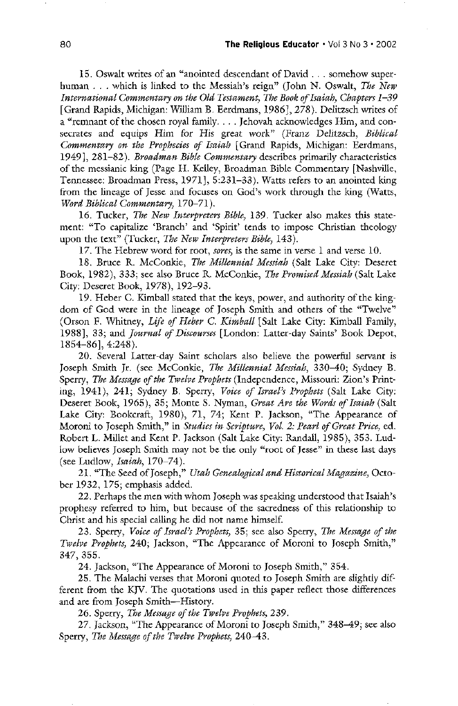15. Oswalt writes of an "anointed descendant of  $David . . .$  somehow superhuman  $\ldots$  which is linked to the Messiah's reign" (John N. Oswalt, The New International Commentary on the Old Testament, The Book of Isaiah, Chapters 1–39 [Grand Rapids, Michigan: William B. Eerdmans, 1986], 278). Delitzsch writes of a "remnant of the chosen royal family.  $\ldots$  Jehovah acknowledges Him, and consecrates and equips Him for His great work" (Franz Delitzsch, Biblical Commentary on the Prophecies of Isaiah [Grand Rapids, Michigan: Eerdmans, 1949], 281-82). Broadman Bible Commentary describes primarily characteristics of the messianic king (Page H. Kelley, Broadman Bible Commentary [Nashville, Tennessee: Broadman Press, 1971], 5:231-33). Watts refers to an anointed king from the lineage of Jesse and focuses on God's work through the king (Watts, Word Biblical Commentary, 170-71).

16. Tucker, The New Interpreters Bible, 139. Tucker also makes this statement: "To capitalize 'Branch' and 'Spirit' tends to impose Christian theology upon the text" (Tucker, The New Interpreters Bible,  $143$ ).

17. The Hebrew word for root, *sores*, is the same in verse 1 and verse 10.

18. Bruce R. McConkie, The Millennial Messiah (Salt Lake City: Deseret Book, 1982), 333; see also Bruce R. McConkie, The Promised Messiah (Salt Lake City: Deseret Book, 1978), 192–93.

19. Heber C. Kimball stated that the keys, power, and authority of the kingdom of God were in the lineage of Joseph Smith and others of the "Twelve" (Orson F. Whitney, Life of Heber C. Kimball [Salt Lake City: Kimball Family, 1988], 33; and *Journal of Discourses* [London: Latter-day Saints' Book Depot,  $1854 - 86$ , 4:248).

20. Several Latter-day Saint scholars also believe the powerful servant is Joseph Smith Jr. (see McConkie, The Millennial Messiah, 330-40; Sydney B. Sperry, The Message of the Twelve Prophets (Independence, Missouri: Zion's Printing, 1941), 241; Sydney B. Sperry, Voice of Israel's Prophets (Salt Lake City: Deseret Book, 1965), 35; Monte S. Nyman, Great Are the Words of Isaiah (Salt Lake City: Bookcraft, 1980), 71, 74; Kent P. Jackson, "The Appearance of Moroni to Joseph Smith," in Studies in Scripture, Vol. 2: Pearl of Great Price, ed. Robert L. Millet and Kent P. Jackson (Salt Lake City: Randall, 1985), 353. Ludlow believes Joseph Smith may not be the only "root of Jesse" in these last days (see Ludlow, Isaiah,  $170 - 74$ ).

21. "The Seed of Joseph," Utah Genealogical and Historical Magazine, October 1932, 175; emphasis added.

22. Perhaps the men with whom Joseph was speaking understood that Isaiah's prophesy referred to him, but because of the sacredness of this relationship to christ and his special calling he did not name himself

23. Sperry, Voice of Israel's Prophets, 35; see also Sperry, The Message of the Twelve Prophets, 240; Jackson, "The Appearance of Moroni to Joseph Smith," 347, 355.

24. Jackson, "The Appearance of Moroni to Joseph Smith," 354.

25. The Malachi verses that Moroni quoted to Joseph Smith are slightly different from the KJV. The quotations used in this paper reflect those differences and are from Joseph Smith-History.

26. Sperry, The Message of the Twelve Prophets, 239.

27. Jackson, "The Appearance of Moroni to Joseph Smith," 348-49; see also Sperry, The Message of the Twelve Prophets, 240-43.